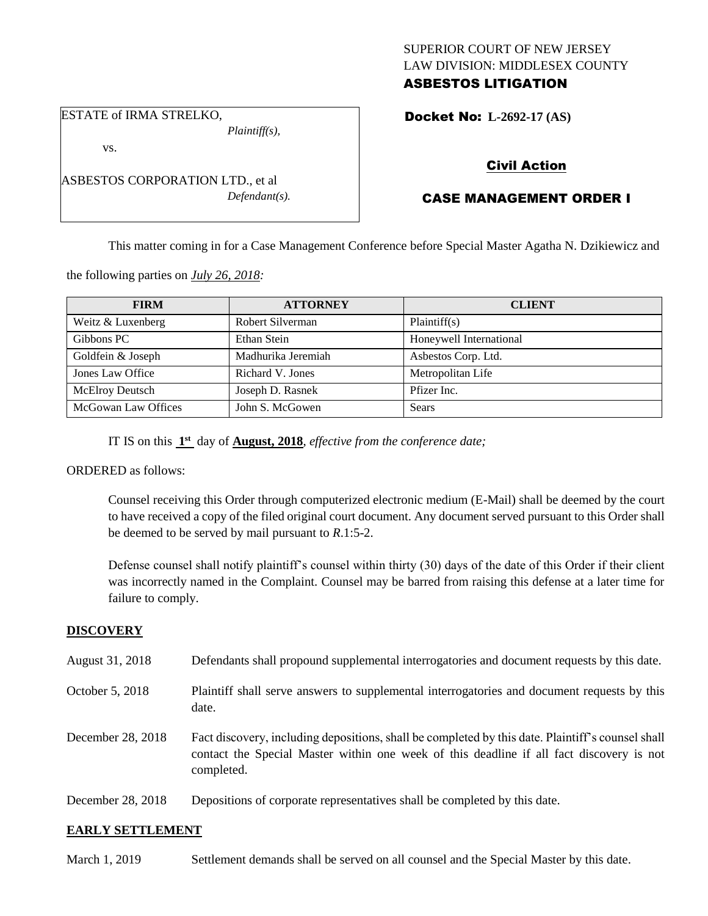## SUPERIOR COURT OF NEW JERSEY LAW DIVISION: MIDDLESEX COUNTY ASBESTOS LITIGATION

Docket No: **L-2692-17 (AS)** 

ESTATE of IRMA STRELKO,

vs.

*Plaintiff(s),*

*Defendant(s).*

Civil Action

# CASE MANAGEMENT ORDER I

This matter coming in for a Case Management Conference before Special Master Agatha N. Dzikiewicz and

the following parties on *July 26, 2018:*

ASBESTOS CORPORATION LTD., et al

| <b>FIRM</b>            | <b>ATTORNEY</b>    | <b>CLIENT</b>           |
|------------------------|--------------------|-------------------------|
| Weitz & Luxenberg      | Robert Silverman   | Plaintiff(s)            |
| Gibbons PC             | Ethan Stein        | Honeywell International |
| Goldfein & Joseph      | Madhurika Jeremiah | Asbestos Corp. Ltd.     |
| Jones Law Office       | Richard V. Jones   | Metropolitan Life       |
| <b>McElroy Deutsch</b> | Joseph D. Rasnek   | Pfizer Inc.             |
| McGowan Law Offices    | John S. McGowen    | Sears                   |

IT IS on this  $1<sup>st</sup>$  day of **August, 2018**, *effective from the conference date*;

### ORDERED as follows:

Counsel receiving this Order through computerized electronic medium (E-Mail) shall be deemed by the court to have received a copy of the filed original court document. Any document served pursuant to this Order shall be deemed to be served by mail pursuant to *R*.1:5-2.

Defense counsel shall notify plaintiff's counsel within thirty (30) days of the date of this Order if their client was incorrectly named in the Complaint. Counsel may be barred from raising this defense at a later time for failure to comply.

### **DISCOVERY**

| August 31, 2018   | Defendants shall propound supplemental interrogatories and document requests by this date.                                                                                                                  |
|-------------------|-------------------------------------------------------------------------------------------------------------------------------------------------------------------------------------------------------------|
| October 5, 2018   | Plaintiff shall serve answers to supplemental interrogatories and document requests by this<br>date.                                                                                                        |
| December 28, 2018 | Fact discovery, including depositions, shall be completed by this date. Plaintiff's counsel shall<br>contact the Special Master within one week of this deadline if all fact discovery is not<br>completed. |
| December 28, 2018 | Depositions of corporate representatives shall be completed by this date.                                                                                                                                   |

### **EARLY SETTLEMENT**

March 1, 2019 Settlement demands shall be served on all counsel and the Special Master by this date.